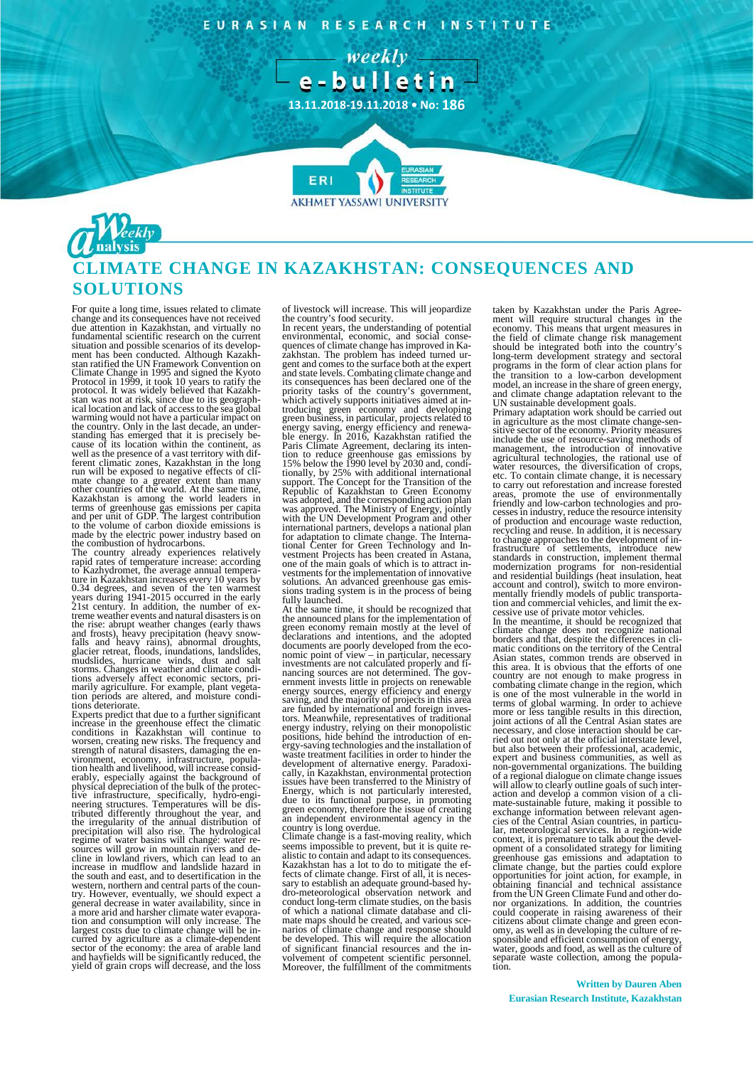EURASIAN RESEARCH INSTITUTE





## **CLIMATE CHANGE IN KAZAKHSTAN: CONSEQUENCES AND SOLUTIONS**

For quite a long time, issues related to climate change and its consequences have not received due attention in Kazakhstan, and virtually no fundamental scientific research on the current situation and possible scenarios of its development has been conducted. Although Kazakh-stan ratified the UN Framework Convention on Climate Change in 1995 and signed the Kyoto<br>Protocol in 1999, it took 10 years to ratify the<br>protocol. It was widely believed that Kazakh-<br>stan was not at risk, since due to its geograph-<br>ical location and lack of access t warming would not have a particular impact on the country. Only in the last decade, an understanding has emerged that it is precisely be-cause of its location within the continent, as well as the presence of a vast territory with dif-<br>ferent climatic zones, Kazakhstan in the long run will be exposed to negative effects of cli-<br>mate change to a greater extent than many<br>other countries of the world. At the same time,<br>Kazakhstan is among the world leaders in<br>terms of greenhouse gas emissions per capit to the volume of carbon dioxide emissions is made by the electric power industry based on the combustion of hydrocarbons.

The country already experiences relatively<br>rapid rates of temperature increase: according<br>to Kazhydromet, the average annual tempera-<br>ture in Kazakhstan increases every 10 years by<br>0.34 degrees, and seven of the ten warmes years during 1941-2015 occurred in the early 21st century. In addition, the number of extreme weather events and natural disasters is on<br>the rise: abrupt weather changes (early thaws<br>and frosts), heavy precipitation (heavy snow-<br>falls and heavy rains), abnormal droughts,<br>glacier retreat, floods, inundations,

Experts predict that due to a further significant increase in the greenhouse effect the climatic<br>conditions in Kazakhstan will continue to<br>worsen, creating new risks. The frequency and<br>strength of natural disasters, damaging the environment, economy, infrastructure, popula-tion health and livelihood, will increase consid-erably, especially against the background of physical depreciation of the bulk of the protective<br>interatructure, specifically, hydro-engineratructures.<br>neering structures. Temperatures will be dis-<br>tributed differently throughout the year, and<br>the irreqularity of the western, northern and central parts of the country. However, eventually, we should expect a general decrease in water availability, since in a more arid and harsher climate water evaporation and consumption will only incre of livestock will increase. This will jeopardize

the country's food security. In recent years, the understanding of potential environmental, economic, and social conse-quences of climate change has improved in Ka-zakhstan. The problem has indeed turned urgent and comes to the surface both at the expert<br>and state levels. Combating climate change and and state levels. Combating climate change and its consequences has been declared one of the priority tasks of the country's government, which actively supports initiatives aimed at in-troducing green economy and developing green business, in particular, projects related to energy saving, energy efficiency and renewa- ble energy. In 2016, Kazakhstan ratified the Paris Climate Agreement, declaring its intention to reduce greenhouse gas emissions by 15% below the 1990 level by 2030 and, conditionally, by 25% with additional international support. The Concept for the Transition of th was adopted, and the corresponding action plan was approved. The Ministry of Energy, jointly with the UN Development Program and other international partners, develops a national plan for adaptation to climate change. The International Center for Green Technology and In-vestment Projects has been created in Astana, one of the main goals of which is to attract in-vestments for the implementation of innovative solutions. An advanced greenhouse gas emis-<br>sions trading system is in the process of being<br>fully launched.

At the same time, it should be recognized that the announced plans for the implementation of green economy remain mostly at the level of declarations and intentions, and the adopted documents are poorly developed from the economic point of view – in particular, necessary investments are not calculated properly and fi-nancing sources are not determined. The government invests little in projects on renewable energy sources, energy efficiency and energy saving, and the majority of projects in this area are funded by international and foreign investors. Meanwhile, representatives of traditional energy industry, relying on their monopolistic positions, hide behind the introduction of energy-saving technologies and the installation of waste treatment facilities in order to hinder the development of alternative energy. Paradoxi-cally, in Kazakhstan, environmental protection issues have been transferred to the Ministry of Energy, which is not particularly interested, due to its functional purpose, in promoting green economy, therefore the issue of creating an independent environmental agency in the

country is long overdue. Climate change is a fast-moving reality, which seems impossible to prevent, but it is quite realistic to contain and adapt to its consequences.<br>Kazakhstan has a lot to do to mitigate the effects of climate change. First of all, it is neces-<br>sary to establish an adequate ground-based hy-<br>dro-meteorological observati conduct long-term climate studies, on the basis of which a national climate database and cli-mate maps should be created, and various sce-narios of climate change and response should be developed. This will require the allocation of significant financial resources and the involvement of competent scientific personnel. Moreover, the fulfillment of the commitments

taken by Kazakhstan under the Paris Agree-ment will require structural changes in the economy. This means that urgent measures in the field of climate change risk management should be integrated both into the country's long-term development strategy and sectoral programs in the form of clear action plans for the transition to a low-carbon development model, an increase in the share of green energy, and climate change adaptation relevant to the

UN sustainable development goals. Primary adaptation work should be carried out in agriculture as the most climate change-sen- sitive sector of the economy. Priority measures include the use of resource-saving methods of<br>management, the introduction of innovative<br>agricultural technologies, the rational use of<br>water resources, the diversification of crops,<br>etc. To contain climate change, it is n to carry out reforestation and increase forested<br>areas, promote the use of environmentally<br>friendly and low-carbon technologies and pro-<br>cesses in industry, reduce the resource intensity<br>of production and encourage waste r to change approaches to the development of in-<br>frastructure of settlements, introduce new<br>standards in construction, implement thermal<br>modernization programs for non-residential<br>and residential buildings (heat insulation,

In the meantime, it should be recognized that climate change does not recognize national borders and that, despite the differences in climatic conditions on the territory of the Central Asian states, common trends are observed in this area. It is obvious that the fforts of one country are not enough to make pr is one of the most vulnerable in the world in<br>terms of global warming. In order to achieve<br>more or less tangible results in this direction,<br>joint actions of all the Central Asian states are<br>necessary, and close interaction ried out not only at the official interstate level, but also between their professional, academic,<br>expert and business communities, as well as<br>non-governmental organizations. The building<br>of a regional dialogue on climate change issues<br>will allow to clearly outline goals of cies of the Central Asian countries, in particu- lar, meteorological services. In a region-wide context, it is premature to talk about the development of a consolidated strategy for limiting greenhouse gas emissions and adaptation to climate change, but the parties could explore opportunities for joint action, for example, in obtaining financial and technical assistance from the UN Green Climate Fund and other donor organizations. In addition, the countries could cooperate in raising awareness of their<br>citizens about climate change and green econcitizens about climate change and green econ- omy, as well as in developing the culture of re-sponsible and efficient consumption of energy, water, goods and food, as well as the culture of separate waste collection, among the population.

**Written by Dauren Aben Eurasian Research Institute, Kazakhstan**